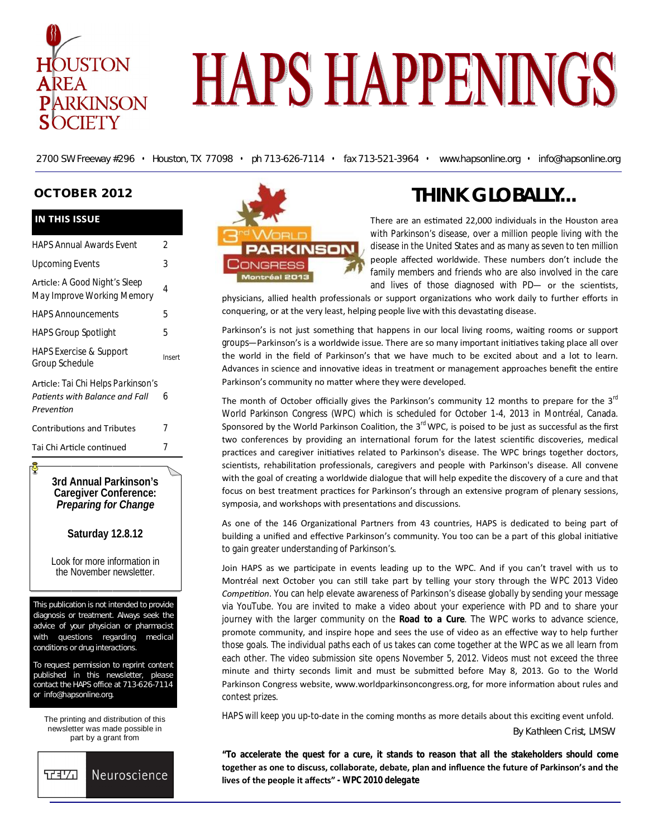

# **HAPS HAPPENINGS**

2700 SW Freeway #296 • Houston, TX 77098 • ph 713-626-7114 • fax 713-521-3964 • www.hapsonline.org • info@hapsonline.org

#### **OCTOBER 2012**

#### **IN THIS ISSUE**

| <b>Upcoming Events</b>                                                             | 3      |
|------------------------------------------------------------------------------------|--------|
| Article: A Good Night's Sleep<br>May Improve Working Memory                        | 4      |
| <b>HAPS Announcements</b>                                                          | 5      |
| <b>HAPS Group Spotlight</b>                                                        | 5      |
| <b>HAPS Exercise &amp; Support</b><br>Group Schedule                               | Insert |
| Article: Tai Chi Helps Parkinson's<br>Patients with Balance and Fall<br>Prevention | 6      |
| <b>Contributions and Tributes</b>                                                  | 7      |
| Tai Chi Article continued                                                          | 7      |

**3rd Annual Parkinson's Caregiver Conference:** *Preparing for Change*

**Saturday 12.8.12** 

Look for more information in the November newsletter.

This publication is not intended to provide diagnosis or treatment. Always seek the advice of your physician or pharmacist with questions regarding medical conditions or drug interactions.

To request permission to reprint content published in this newsletter, please contact the HAPS office at 713-626-7114 or info@hapsonline.org.

The printing and distribution of this newsletter was made possible in part by a grant from





# **THINK GLOBALLY...**

There are an estimated 22,000 individuals in the Houston area with Parkinson's disease, over a million people living with the disease in the United States and as many as seven to ten million people affected worldwide. These numbers don't include the family members and friends who are also involved in the care and lives of those diagnosed with PD- or the scientists,

physicians, allied health professionals or support organizations who work daily to further efforts in conquering, or at the very least, helping people live with this devastating disease.

Parkinson's is not just something that happens in our local living rooms, waiting rooms or support groups—Parkinson's is a worldwide issue. There are so many important initiatives taking place all over the world in the field of Parkinson's that we have much to be excited about and a lot to learn. Advances in science and innovative ideas in treatment or management approaches benefit the entire Parkinson's community no matter where they were developed.

The month of October officially gives the Parkinson's community 12 months to prepare for the  $3^{rd}$ World Parkinson Congress (WPC) which is scheduled for October 1-4, 2013 in Montréal, Canada. Sponsored by the World Parkinson Coalition, the  $3^{rd}$  WPC, is poised to be just as successful as the first two conferences by providing an international forum for the latest scientific discoveries, medical practices and caregiver initiatives related to Parkinson's disease. The WPC brings together doctors, scientists, rehabilitation professionals, caregivers and people with Parkinson's disease. All convene with the goal of creating a worldwide dialogue that will help expedite the discovery of a cure and that focus on best treatment practices for Parkinson's through an extensive program of plenary sessions, symposia, and workshops with presentations and discussions.

As one of the 146 Organizational Partners from 43 countries, HAPS is dedicated to being part of building a unified and effective Parkinson's community. You too can be a part of this global initiative to gain greater understanding of Parkinson's.

Join HAPS as we participate in events leading up to the WPC. And if you can't travel with us to Montréal next October you can sƟll take part by telling your story through the *WPC 2013 Video*  Competition. You can help elevate awareness of Parkinson's disease globally by sending your message via YouTube. You are invited to make a video about your experience with PD and to share your journey with the larger community on the **Road to a Cure**. The WPC works to advance science, promote community, and inspire hope and sees the use of video as an effective way to help further those goals. The individual paths each of us takes can come together at the WPC as we all learn from each other. The video submission site opens November 5, 2012. Videos must not exceed the three minute and thirty seconds limit and must be submitted before May 8, 2013. Go to the World Parkinson Congress website, www.worldparkinsoncongress.org, for more information about rules and contest prizes.

HAPS will keep you up-to-date in the coming months as more details about this exciting event unfold.

By Kathleen Crist, LMSW

**"To accelerate the quest for a cure, it stands to reason that all the stakeholders should come together as one to discuss, collaborate, debate, plan and influence the future of Parkinson's and the lives of the people it affects" -** *WPC 2010 delegate*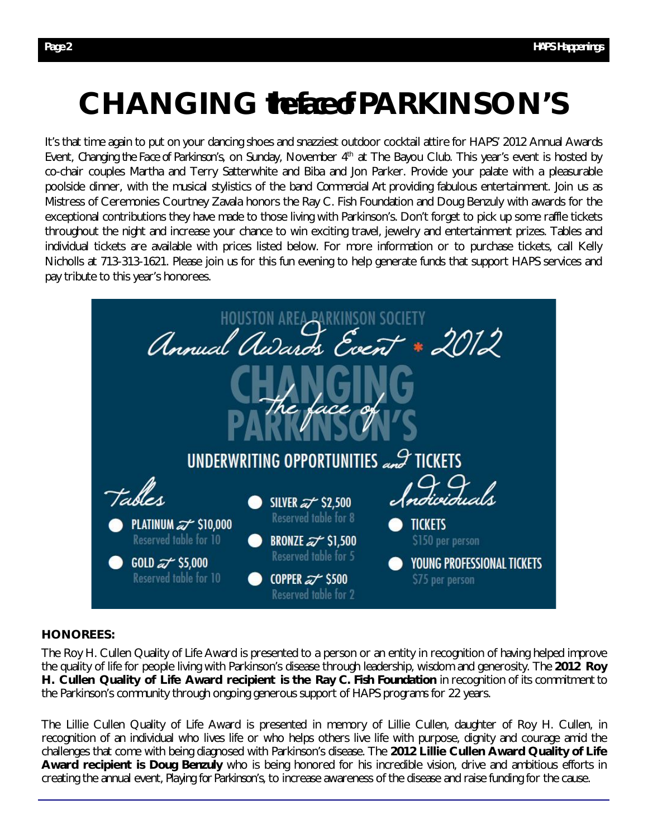# **CHANGING the face of PARKINSON'S**

It's that time again to put on your dancing shoes and snazziest outdoor cocktail attire for HAPS' 2012 Annual Awards Event, *Changing the Face of Parkinson's*, on Sunday, November 4th at The Bayou Club. This year's event is hosted by co-chair couples Martha and Terry Satterwhite and Biba and Jon Parker. Provide your palate with a pleasurable poolside dinner, with the musical stylistics of the band *Commercial Art* providing fabulous entertainment. Join us as Mistress of Ceremonies Courtney Zavala honors the Ray C. Fish Foundation and Doug Benzuly with awards for the exceptional contributions they have made to those living with Parkinson's. Don't forget to pick up some raffle tickets throughout the night and increase your chance to win exciting travel, jewelry and entertainment prizes. Tables and individual tickets are available with prices listed below. For more information or to purchase tickets, call Kelly Nicholls at 713-313-1621. Please join us for this fun evening to help generate funds that support HAPS services and pay tribute to this year's honorees.



#### **HONOREES:**

The Roy H. Cullen Quality of Life Award is presented to a person or an entity in recognition of having helped improve the quality of life for people living with Parkinson's disease through leadership, wisdom and generosity. The **2012 Roy H. Cullen Quality of Life Award recipient is the** *Ray C. Fish Foundation* in recognition of its commitment to the Parkinson's community through ongoing generous support of HAPS programs for 22 years.

The Lillie Cullen Quality of Life Award is presented in memory of Lillie Cullen, daughter of Roy H. Cullen, in recognition of an individual who lives life or who helps others live life with purpose, dignity and courage amid the challenges that come with being diagnosed with Parkinson's disease. The **2012 Lillie Cullen Award Quality of Life Award recipient is** *Doug Benzuly* who is being honored for his incredible vision, drive and ambitious efforts in creating the annual event, *Playing for Parkinson's*, to increase awareness of the disease and raise funding for the cause.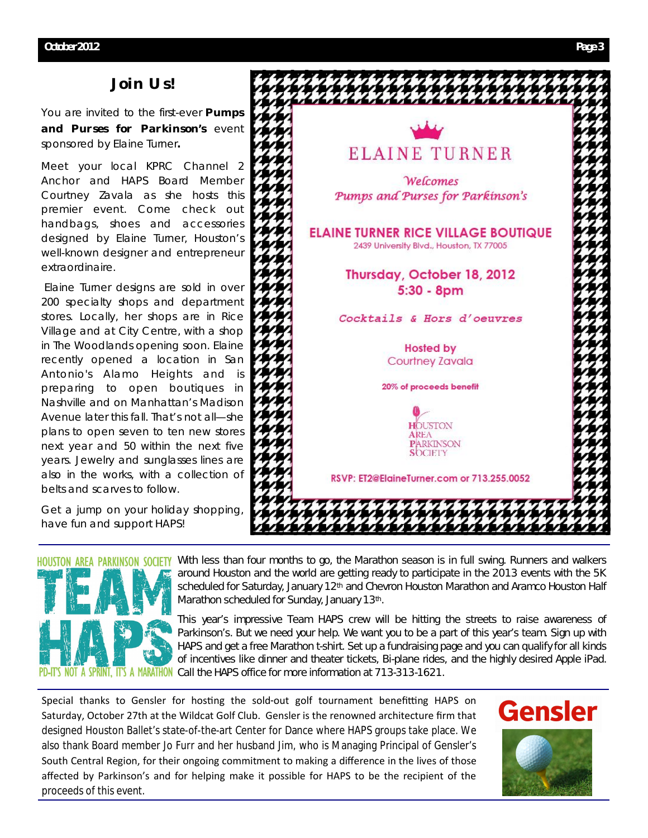# *Join Us!*

You are invited to the first-ever *Pumps and Purses for Parkinson's* event sponsored by Elaine Turner**.** 

Meet your local KPRC Channel 2 Anchor and HAPS Board Member Courtney Zavala as she hosts this premier event. Come check out handbags, shoes and accessories designed by Elaine Turner, Houston's well-known designer and entrepreneur extraordinaire.

Elaine Turner designs are sold in over 200 specialty shops and department stores. Locally, her shops are in Rice Village and at City Centre, with a shop in The Woodlands opening soon. Elaine recently opened a location in San Antonio's Alamo Heights and is preparing to open boutiques in Nashville and on Manhattan's Madison Avenue later this fall. That's not all—she plans to open seven to ten new stores next year and 50 within the next five years. Jewelry and sunglasses lines are also in the works, with a collection of belts and scarves to follow.

Get a jump on your holiday shopping, have fun and support HAPS!





With less than four months to go, the Marathon season is in full swing. Runners and walkers around Houston and the world are getting ready to participate in the 2013 events with the 5K scheduled for Saturday, January 12<sup>th</sup> and Chevron Houston Marathon and Aramco Houston Half Marathon scheduled for Sunday, January 13th.

This year's impressive *Team HAPS* crew will be hitting the streets to raise awareness of Parkinson's. But we need your help. We want you to be a part of this year's team. Sign up with HAPS and get a free Marathon t-shirt. Set up a fundraising page and you can qualify for all kinds of incentives like dinner and theater tickets, Bi-plane rides, and the highly desired Apple iPad. A MARATHON Call the HAPS office for more information at 713-313-1621.

Special thanks to Gensler for hosting the sold-out golf tournament benefitting HAPS on Saturday, October 27th at the Wildcat Golf Club. Gensler is the renowned architecture firm that designed Houston Ballet's state-of-the-art Center for Dance where HAPS groups take place. We also thank Board member Jo Furr and her husband Jim, who is Managing Principal of Gensler's South Central Region, for their ongoing commitment to making a difference in the lives of those affected by Parkinson's and for helping make it possible for HAPS to be the recipient of the proceeds of this event.

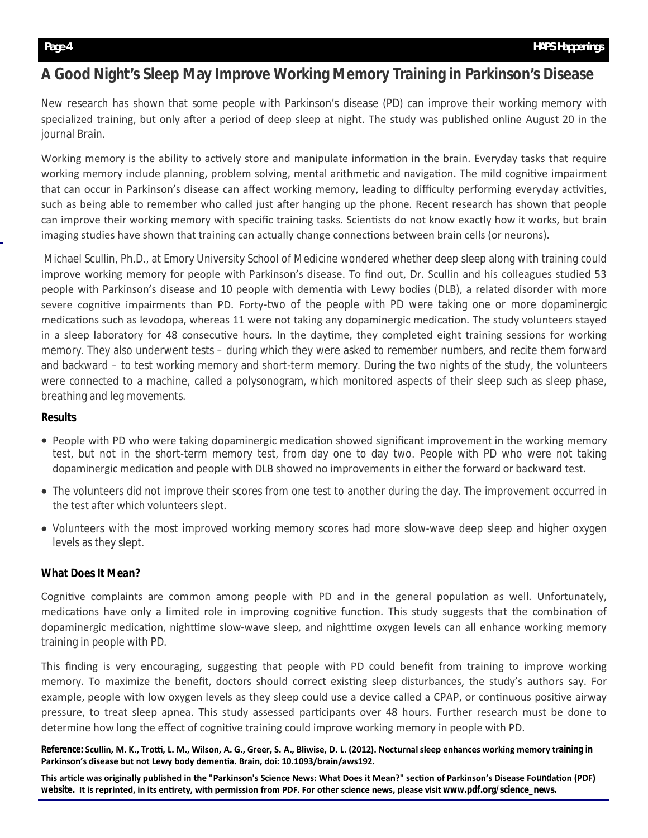# **A Good Night's Sleep May Improve Working Memory Training in Parkinson's Disease**

New research has shown that some people with Parkinson's disease (PD) can improve their working memory with specialized training, but only after a period of deep sleep at night. The study was published online August 20 in the journal *Brain.*

Working memory is the ability to actively store and manipulate information in the brain. Everyday tasks that require working memory include planning, problem solving, mental arithmetic and navigation. The mild cognitive impairment that can occur in Parkinson's disease can affect working memory, leading to difficulty performing everyday activities, such as being able to remember who called just after hanging up the phone. Recent research has shown that people can improve their working memory with specific training tasks. Scientists do not know exactly how it works, but brain imaging studies have shown that training can actually change connections between brain cells (or neurons).

Michael Scullin, Ph.D., at Emory University School of Medicine wondered whether deep sleep along with training could improve working memory for people with Parkinson's disease. To find out, Dr. Scullin and his colleagues studied 53 people with Parkinson's disease and 10 people with dementia with Lewy bodies (DLB), a related disorder with more severe cognitive impairments than PD. Forty-two of the people with PD were taking one or more dopaminergic medications such as levodopa, whereas 11 were not taking any dopaminergic medication. The study volunteers stayed in a sleep laboratory for 48 consecutive hours. In the daytime, they completed eight training sessions for working memory. They also underwent tests – during which they were asked to remember numbers, and recite them forward and backward – to test working memory and short-term memory. During the two nights of the study, the volunteers were connected to a machine, called a polysonogram, which monitored aspects of their sleep such as sleep phase, breathing and leg movements.

#### **Results**

- People with PD who were taking dopaminergic medication showed significant improvement in the working memory test, but not in the short-term memory test, from day one to day two. People with PD who were not taking dopaminergic medication and people with DLB showed no improvements in either the forward or backward test.
- The volunteers did not improve their scores from one test to another during the day. The improvement occurred in the test after which volunteers slept.
- Volunteers with the most improved working memory scores had more slow-wave deep sleep and higher oxygen levels as they slept.

## **What Does It Mean?**

Cognitive complaints are common among people with PD and in the general population as well. Unfortunately, medications have only a limited role in improving cognitive function. This study suggests that the combination of dopaminergic medication, nighttime slow-wave sleep, and nighttime oxygen levels can all enhance working memory training in people with PD.

This finding is very encouraging, suggesting that people with PD could benefit from training to improve working memory. To maximize the benefit, doctors should correct existing sleep disturbances, the study's authors say. For example, people with low oxygen levels as they sleep could use a device called a CPAP, or continuous positive airway pressure, to treat sleep apnea. This study assessed participants over 48 hours. Further research must be done to determine how long the effect of cognitive training could improve working memory in people with PD.

*Reference:* **Scullin, M. K., Troƫ, L. M., Wilson, A. G., Greer, S. A., Bliwise, D. L. (2012). Nocturnal sleep enhances working memory training in**  Parkinson's disease but not Lewy body dementia. Brain, doi: 10.1093/brain/aws192.

This article was originally published in the "Parkinson's Science News: What Does it Mean?" section of Parkinson's Disease Foundation (PDF) **website. It is reprinted, in its enƟrety, with permission from PDF. For other science news, please visit www.pdf.org/science\_news.**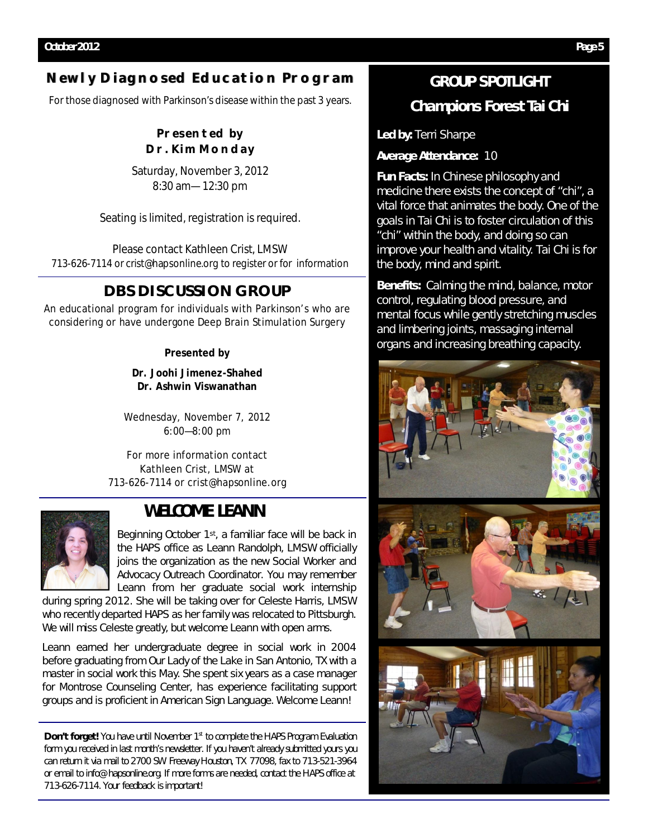# **Newly Diagnosed Education Program**

For those diagnosed with Parkinson's disease within the past 3 years.

# **Presented by Dr. Kim Monday**

Saturday, November 3, 2012 8:30 am—12:30 pm

Seating is limited, registration is required.

Please contact Kathleen Crist, LMSW 713-626-7114 or crist@hapsonline.org to register or for information

# **DBS DISCUSSION GROUP**

An educational program for individuals with Parkinson's who are considering or have undergone Deep Brain Stimulation Surgery

## **Presented by**

**Dr. Joohi Jimenez-Shahed Dr. Ashwin Viswanathan**

Wednesday, November 7, 2012 6:00—8:00 pm

For more information contact Kathleen Crist, LMSW at 713-626-7114 or crist@hapsonline.org



# **WELCOME LEANN**

Beginning October 1st, a familiar face will be back in the HAPS office as Leann Randolph, LMSW officially joins the organization as the new *Social Worker and Advocacy Outreach Coordinator*. You may remember Leann from her graduate social work internship

during spring 2012. She will be taking over for Celeste Harris, LMSW who recently departed HAPS as her family was relocated to Pittsburgh. We will miss Celeste greatly, but welcome Leann with open arms.

Leann earned her undergraduate degree in social work in 2004 before graduating from Our Lady of the Lake in San Antonio, TX with a master in social work this May. She spent six years as a case manager for Montrose Counseling Center, has experience facilitating support groups and is proficient in American Sign Language. Welcome Leann!

*Don't forget! You have until November 1st to complete the HAPS Program Evaluation form you received in last month's newsletter. If you haven't already submitted yours you can return it via mail to 2700 SW Freeway Houston, TX 77098, fax to 713-521-3964 or email to info@hapsonline.org. If more forms are needed, contact the HAPS office at 713-626-7114. Your feedback is important!* 

# **GROUP SPOTLIGHT**

# **Champions Forest Tai Chi**

**Led by:** Terri Sharpe

**Average Attendance:** 10

**Fun Facts:** In Chinese philosophy and medicine there exists the concept of "chi", a vital force that animates the body. One of the goals in Tai Chi is to foster circulation of this "chi" within the body, and doing so can improve your health and vitality. Tai Chi is for the body, mind and spirit.

**Benefits:** Calming the mind, balance, motor control, regulating blood pressure, and mental focus while gently stretching muscles and limbering joints, massaging internal organs and increasing breathing capacity.

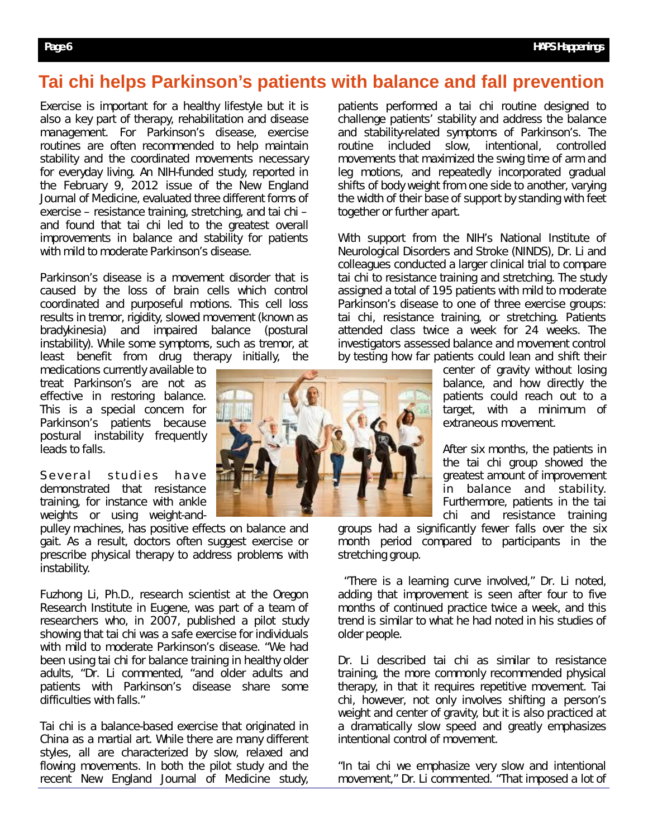# **Tai chi helps Parkinson's patients with balance and fall prevention**

Exercise is important for a healthy lifestyle but it is also a key part of therapy, rehabilitation and disease management. For Parkinson's disease, exercise routines are often recommended to help maintain stability and the coordinated movements necessary for everyday living. An NIH-funded study, reported in the February 9, 2012 issue of the *New England Journal of Medicine*, evaluated three different forms of exercise – resistance training, stretching, and tai chi – and found that tai chi led to the greatest overall improvements in balance and stability for patients with mild to moderate Parkinson's disease.

Parkinson's disease is a movement disorder that is caused by the loss of brain cells which control coordinated and purposeful motions. This cell loss results in tremor, rigidity, slowed movement (known as bradykinesia) and impaired balance (postural instability). While some symptoms, such as tremor, at least benefit from drug therapy initially, the

medications currently available to treat Parkinson's are not as effective in restoring balance. This is a special concern for Parkinson's patients because postural instability frequently leads to falls.

Several studies have demonstrated that resistance training, for instance with ankle weights or using weight-and-

pulley machines, has positive effects on balance and gait. As a result, doctors often suggest exercise or prescribe physical therapy to address problems with instability.

Fuzhong Li, Ph.D., research scientist at the Oregon Research Institute in Eugene, was part of a team of researchers who, in 2007, published a pilot study showing that tai chi was a safe exercise for individuals with mild to moderate Parkinson's disease. "We had been using tai chi for balance training in healthy older adults, "Dr. Li commented, "and older adults and patients with Parkinson's disease share some difficulties with falls."

Tai chi is a balance-based exercise that originated in China as a martial art. While there are many different styles, all are characterized by slow, relaxed and flowing movements. In both the pilot study and the recent New England Journal of Medicine study,



patients performed a tai chi routine designed to challenge patients' stability and address the balance and stability-related symptoms of Parkinson's. The routine included slow, intentional, controlled movements that maximized the swing time of arm and leg motions, and repeatedly incorporated gradual shifts of body weight from one side to another, varying the width of their base of support by standing with feet together or further apart.

With support from the NIH's National Institute of Neurological Disorders and Stroke (NINDS), Dr. Li and colleagues conducted a larger clinical trial to compare tai chi to resistance training and stretching. The study assigned a total of 195 patients with mild to moderate Parkinson's disease to one of three exercise groups: tai chi, resistance training, or stretching. Patients attended class twice a week for 24 weeks. The investigators assessed balance and movement control by testing how far patients could lean and shift their

center of gravity without losing balance, and how directly the patients could reach out to a target, with a minimum of extraneous movement.

After six months, the patients in the tai chi group showed the greatest amount of improvement in balance and stability. Furthermore, patients in the tai chi and resistance training

groups had a significantly fewer falls over the six month period compared to participants in the stretching group.

"There is a learning curve involved," Dr. Li noted, adding that improvement is seen after four to five months of continued practice twice a week, and this trend is similar to what he had noted in his studies of older people.

Dr. Li described tai chi as similar to resistance training, the more commonly recommended physical therapy, in that it requires repetitive movement. Tai chi, however, not only involves shifting a person's weight and center of gravity, but it is also practiced at a dramatically slow speed and greatly emphasizes intentional control of movement.

"In tai chi we emphasize very slow and intentional movement," Dr. Li commented. "That imposed a lot of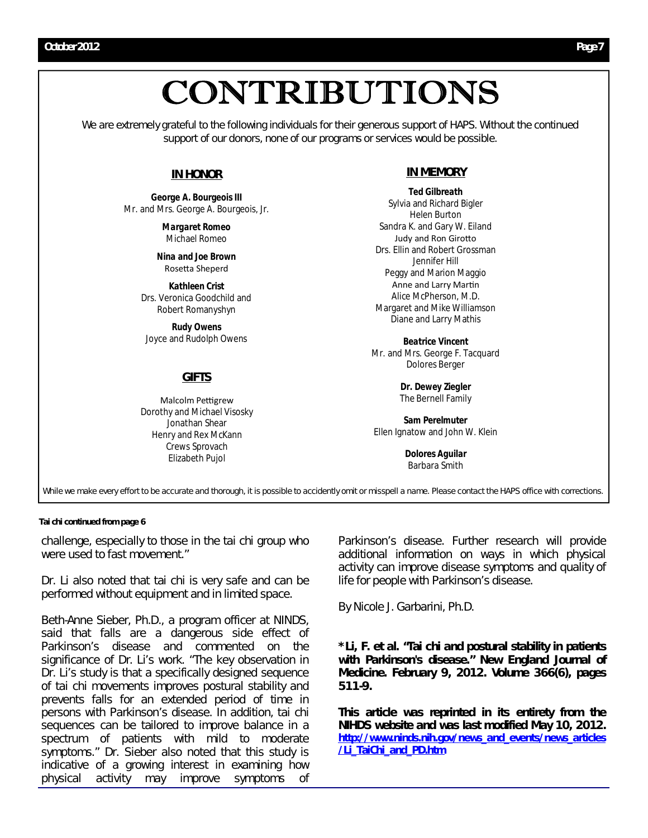# CONTRIBUTIONS

We are extremely grateful to the following individuals for their generous support of HAPS. Without the continued support of our donors, none of our programs or services would be possible.

# **IN HONOR**

*George A. Bourgeois III* Mr. and Mrs. George A. Bourgeois, Jr.

> *Margaret Romeo* Michael Romeo

*Nina and Joe Brown* Rosetta Sheperd

*Kathleen Crist*  Drs. Veronica Goodchild and Robert Romanyshyn

*Rudy Owens* Joyce and Rudolph Owens

## **GIFTS**

Malcolm Pettigrew Dorothy and Michael Visosky Jonathan Shear Henry and Rex McKann Crews Sprovach Elizabeth Pujol

## **IN MEMORY**

*Ted Gilbreath* Sylvia and Richard Bigler Helen Burton Sandra K. and Gary W. Eiland Judy and Ron Girotto Drs. Ellin and Robert Grossman Jennifer Hill Peggy and Marion Maggio Anne and Larry Martin Alice McPherson, M.D. Margaret and Mike Williamson Diane and Larry Mathis

*Beatrice Vincent* Mr. and Mrs. George F. Tacquard Dolores Berger

> *Dr. Dewey Ziegler* The Bernell Family

*Sam Perelmuter*  Ellen Ignatow and John W. Klein

> *Dolores Aguilar* Barbara Smith

While we make every effort to be accurate and thorough, it is possible to accidently omit or misspell a name. Please contact the *HAPS* office with corrections.

#### **Tai chi continued from page 6**

challenge, especially to those in the tai chi group who were used to fast movement."

Dr. Li also noted that tai chi is very safe and can be performed without equipment and in limited space.

Beth-Anne Sieber, Ph.D., a program officer at NINDS, said that falls are a dangerous side effect of Parkinson's disease and commented on the significance of Dr. Li's work. "The key observation in Dr. Li's study is that a specifically designed sequence of tai chi movements improves postural stability and prevents falls for an extended period of time in persons with Parkinson's disease. In addition, tai chi sequences can be tailored to improve balance in a spectrum of patients with mild to moderate symptoms." Dr. Sieber also noted that this study is indicative of a growing interest in examining how physical activity may improve symptoms of

Parkinson's disease. Further research will provide additional information on ways in which physical activity can improve disease symptoms and quality of life for people with Parkinson's disease.

By Nicole J. Garbarini, Ph.D.

*\*Li, F. et al. "Tai chi and postural stability in patients with Parkinson's disease." New England Journal of Medicine. February 9, 2012. Volume 366(6), pages 511-9.*

*This article was reprinted in its entirety from the NIHDS website and was last modified May 10, 2012. http://www.ninds.nih.gov/news\_and\_events/news\_articles /Li\_TaiChi\_and\_PD.htm*